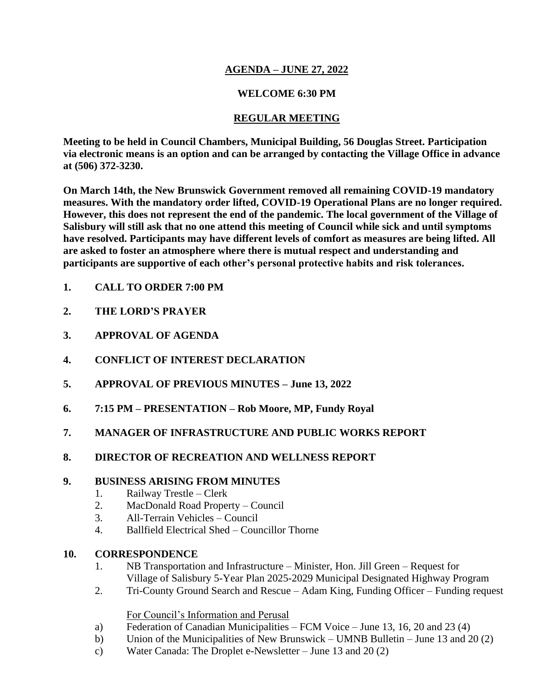## **AGENDA – JUNE 27, 2022**

## **WELCOME 6:30 PM**

# **REGULAR MEETING**

**Meeting to be held in Council Chambers, Municipal Building, 56 Douglas Street. Participation via electronic means is an option and can be arranged by contacting the Village Office in advance at (506) 372-3230.**

**On March 14th, the New Brunswick Government removed all remaining COVID-19 mandatory measures. With the mandatory order lifted, COVID-19 Operational Plans are no longer required. However, this does not represent the end of the pandemic. The local government of the Village of Salisbury will still ask that no one attend this meeting of Council while sick and until symptoms have resolved. Participants may have different levels of comfort as measures are being lifted. All are asked to foster an atmosphere where there is mutual respect and understanding and participants are supportive of each other's personal protective habits and risk tolerances.**

- **1. CALL TO ORDER 7:00 PM**
- **2. THE LORD'S PRAYER**
- **3. APPROVAL OF AGENDA**
- **4. CONFLICT OF INTEREST DECLARATION**
- **5. APPROVAL OF PREVIOUS MINUTES – June 13, 2022**
- **6. 7:15 PM – PRESENTATION – Rob Moore, MP, Fundy Royal**
- **7. MANAGER OF INFRASTRUCTURE AND PUBLIC WORKS REPORT**
- **8. DIRECTOR OF RECREATION AND WELLNESS REPORT**

### **9. BUSINESS ARISING FROM MINUTES**

- 1. Railway Trestle Clerk
- 2. MacDonald Road Property Council
- 3. All-Terrain Vehicles Council
- 4. Ballfield Electrical Shed Councillor Thorne

### **10. CORRESPONDENCE**

- 1. NB Transportation and Infrastructure Minister, Hon. Jill Green Request for Village of Salisbury 5-Year Plan 2025-2029 Municipal Designated Highway Program
- 2. Tri-County Ground Search and Rescue Adam King, Funding Officer Funding request

### For Council's Information and Perusal

- a) Federation of Canadian Municipalities FCM Voice June 13, 16, 20 and 23 (4)
- b) Union of the Municipalities of New Brunswick UMNB Bulletin June 13 and 20 (2)
- c) Water Canada: The Droplet e-Newsletter June 13 and 20 (2)